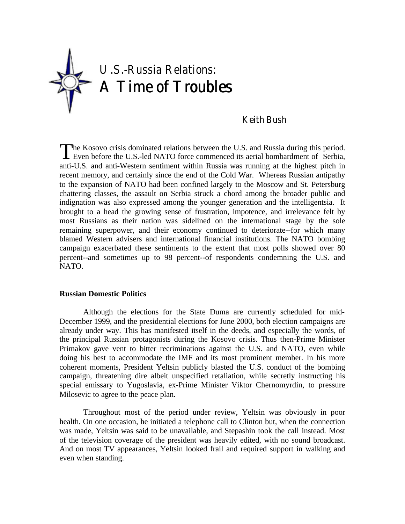

# Keith Bush

he Kosovo crisis dominated relations between the U.S. and Russia during this period. Even before the U.S.-led NATO force commenced its aerial bombardment of Serbia, anti-U.S. and anti-Western sentiment within Russia was running at the highest pitch in recent memory, and certainly since the end of the Cold War. Whereas Russian antipathy to the expansion of NATO had been confined largely to the Moscow and St. Petersburg chattering classes, the assault on Serbia struck a chord among the broader public and indignation was also expressed among the younger generation and the intelligentsia. It brought to a head the growing sense of frustration, impotence, and irrelevance felt by most Russians as their nation was sidelined on the international stage by the sole remaining superpower, and their economy continued to deteriorate--for which many blamed Western advisers and international financial institutions. The NATO bombing campaign exacerbated these sentiments to the extent that most polls showed over 80 percent--and sometimes up to 98 percent--of respondents condemning the U.S. and NATO. T

### **Russian Domestic Politics**

Although the elections for the State Duma are currently scheduled for mid-December 1999, and the presidential elections for June 2000, both election campaigns are already under way. This has manifested itself in the deeds, and especially the words, of the principal Russian protagonists during the Kosovo crisis. Thus then-Prime Minister Primakov gave vent to bitter recriminations against the U.S. and NATO, even while doing his best to accommodate the IMF and its most prominent member. In his more coherent moments, President Yeltsin publicly blasted the U.S. conduct of the bombing campaign, threatening dire albeit unspecified retaliation, while secretly instructing his special emissary to Yugoslavia, ex-Prime Minister Viktor Chernomyrdin, to pressure Milosevic to agree to the peace plan.

Throughout most of the period under review, Yeltsin was obviously in poor health. On one occasion, he initiated a telephone call to Clinton but, when the connection was made, Yeltsin was said to be unavailable, and Stepashin took the call instead. Most of the television coverage of the president was heavily edited, with no sound broadcast. And on most TV appearances, Yeltsin looked frail and required support in walking and even when standing.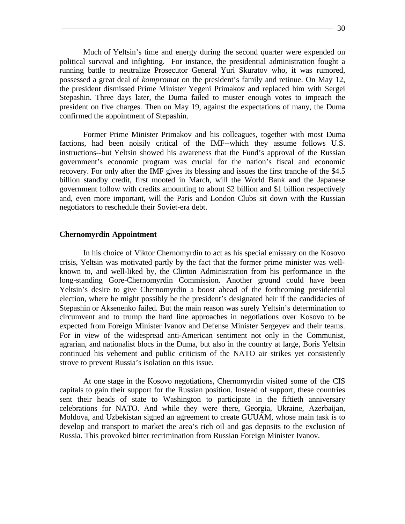Much of Yeltsin's time and energy during the second quarter were expended on political survival and infighting. For instance, the presidential administration fought a running battle to neutralize Prosecutor General Yuri Skuratov who, it was rumored, possessed a great deal of *kompromat* on the president's family and retinue. On May 12, the president dismissed Prime Minister Yegeni Primakov and replaced him with Sergei Stepashin. Three days later, the Duma failed to muster enough votes to impeach the president on five charges. Then on May 19, against the expectations of many, the Duma confirmed the appointment of Stepashin.

Former Prime Minister Primakov and his colleagues, together with most Duma factions, had been noisily critical of the IMF--which they assume follows U.S. instructions--but Yeltsin showed his awareness that the Fund's approval of the Russian government's economic program was crucial for the nation's fiscal and economic recovery. For only after the IMF gives its blessing and issues the first tranche of the \$4.5 billion standby credit, first mooted in March, will the World Bank and the Japanese government follow with credits amounting to about \$2 billion and \$1 billion respectively and, even more important, will the Paris and London Clubs sit down with the Russian negotiators to reschedule their Soviet-era debt.

#### **Chernomyrdin Appointment**

In his choice of Viktor Chernomyrdin to act as his special emissary on the Kosovo crisis, Yeltsin was motivated partly by the fact that the former prime minister was wellknown to, and well-liked by, the Clinton Administration from his performance in the long-standing Gore-Chernomyrdin Commission. Another ground could have been Yeltsin's desire to give Chernomyrdin a boost ahead of the forthcoming presidential election, where he might possibly be the president's designated heir if the candidacies of Stepashin or Aksenenko failed. But the main reason was surely Yeltsin's determination to circumvent and to trump the hard line approaches in negotiations over Kosovo to be expected from Foreign Minister Ivanov and Defense Minister Sergeyev and their teams. For in view of the widespread anti-American sentiment not only in the Communist, agrarian, and nationalist blocs in the Duma, but also in the country at large, Boris Yeltsin continued his vehement and public criticism of the NATO air strikes yet consistently strove to prevent Russia's isolation on this issue.

At one stage in the Kosovo negotiations, Chernomyrdin visited some of the CIS capitals to gain their support for the Russian position. Instead of support, these countries sent their heads of state to Washington to participate in the fiftieth anniversary celebrations for NATO. And while they were there, Georgia, Ukraine, Azerbaijan, Moldova, and Uzbekistan signed an agreement to create GUUAM, whose main task is to develop and transport to market the area's rich oil and gas deposits to the exclusion of Russia. This provoked bitter recrimination from Russian Foreign Minister Ivanov.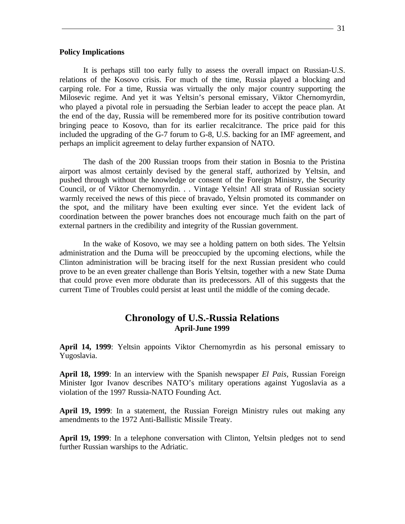#### **Policy Implications**

It is perhaps still too early fully to assess the overall impact on Russian-U.S. relations of the Kosovo crisis. For much of the time, Russia played a blocking and carping role. For a time, Russia was virtually the only major country supporting the Milosevic regime. And yet it was Yeltsin's personal emissary, Viktor Chernomyrdin, who played a pivotal role in persuading the Serbian leader to accept the peace plan. At the end of the day, Russia will be remembered more for its positive contribution toward bringing peace to Kosovo, than for its earlier recalcitrance. The price paid for this included the upgrading of the G-7 forum to G-8, U.S. backing for an IMF agreement, and perhaps an implicit agreement to delay further expansion of NATO.

The dash of the 200 Russian troops from their station in Bosnia to the Pristina airport was almost certainly devised by the general staff, authorized by Yeltsin, and pushed through without the knowledge or consent of the Foreign Ministry, the Security Council, or of Viktor Chernomyrdin. . . Vintage Yeltsin! All strata of Russian society warmly received the news of this piece of bravado, Yeltsin promoted its commander on the spot, and the military have been exulting ever since. Yet the evident lack of coordination between the power branches does not encourage much faith on the part of external partners in the credibility and integrity of the Russian government.

In the wake of Kosovo, we may see a holding pattern on both sides. The Yeltsin administration and the Duma will be preoccupied by the upcoming elections, while the Clinton administration will be bracing itself for the next Russian president who could prove to be an even greater challenge than Boris Yeltsin, together with a new State Duma that could prove even more obdurate than its predecessors. All of this suggests that the current Time of Troubles could persist at least until the middle of the coming decade.

## **Chronology of U.S.-Russia Relations April-June 1999**

**April 14, 1999**: Yeltsin appoints Viktor Chernomyrdin as his personal emissary to Yugoslavia.

**April 18, 1999**: In an interview with the Spanish newspaper *El Pais,* Russian Foreign Minister Igor Ivanov describes NATO's military operations against Yugoslavia as a violation of the 1997 Russia-NATO Founding Act.

**April 19, 1999**: In a statement, the Russian Foreign Ministry rules out making any amendments to the 1972 Anti-Ballistic Missile Treaty.

**April 19, 1999**: In a telephone conversation with Clinton, Yeltsin pledges not to send further Russian warships to the Adriatic.